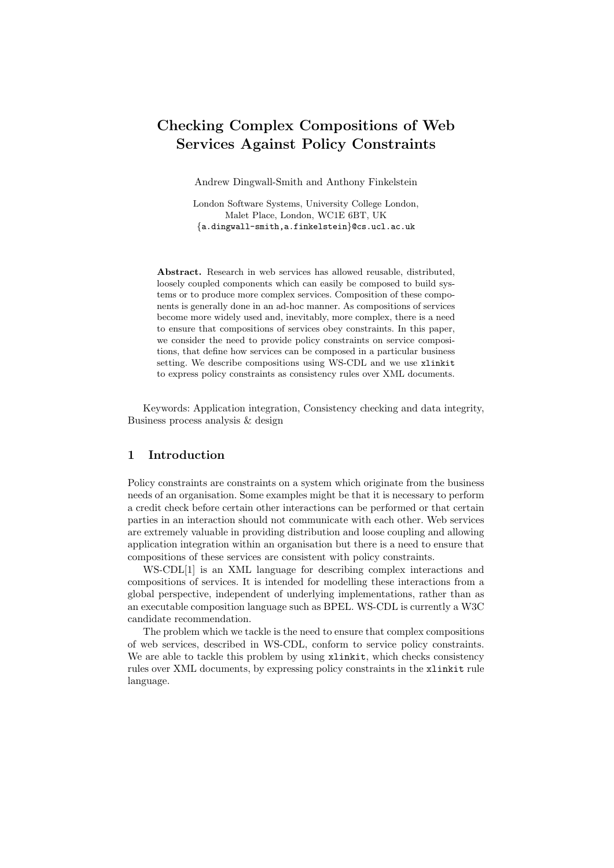# Checking Complex Compositions of Web Services Against Policy Constraints

Andrew Dingwall-Smith and Anthony Finkelstein

London Software Systems, University College London, Malet Place, London, WC1E 6BT, UK *{*a.dingwall-smith,a.finkelstein*}*@cs.ucl.ac.uk

Abstract. Research in web services has allowed reusable, distributed, loosely coupled components which can easily be composed to build systems or to produce more complex services. Composition of these components is generally done in an ad-hoc manner. As compositions of services become more widely used and, inevitably, more complex, there is a need to ensure that compositions of services obey constraints. In this paper, we consider the need to provide policy constraints on service compositions, that define how services can be composed in a particular business setting. We describe compositions using WS-CDL and we use xlinkit to express policy constraints as consistency rules over XML documents.

Keywords: Application integration, Consistency checking and data integrity, Business process analysis & design

#### 1 Introduction

Policy constraints are constraints on a system which originate from the business needs of an organisation. Some examples might be that it is necessary to perform a credit check before certain other interactions can be performed or that certain parties in an interaction should not communicate with each other. Web services are extremely valuable in providing distribution and loose coupling and allowing application integration within an organisation but there is a need to ensure that compositions of these services are consistent with policy constraints.

WS-CDL[1] is an XML language for describing complex interactions and compositions of services. It is intended for modelling these interactions from a global perspective, independent of underlying implementations, rather than as an executable composition language such as BPEL. WS-CDL is currently a W3C candidate recommendation.

The problem which we tackle is the need to ensure that complex compositions of web services, described in WS-CDL, conform to service policy constraints. We are able to tackle this problem by using  $xlinkit$ , which checks consistency rules over XML documents, by expressing policy constraints in the xlinkit rule language.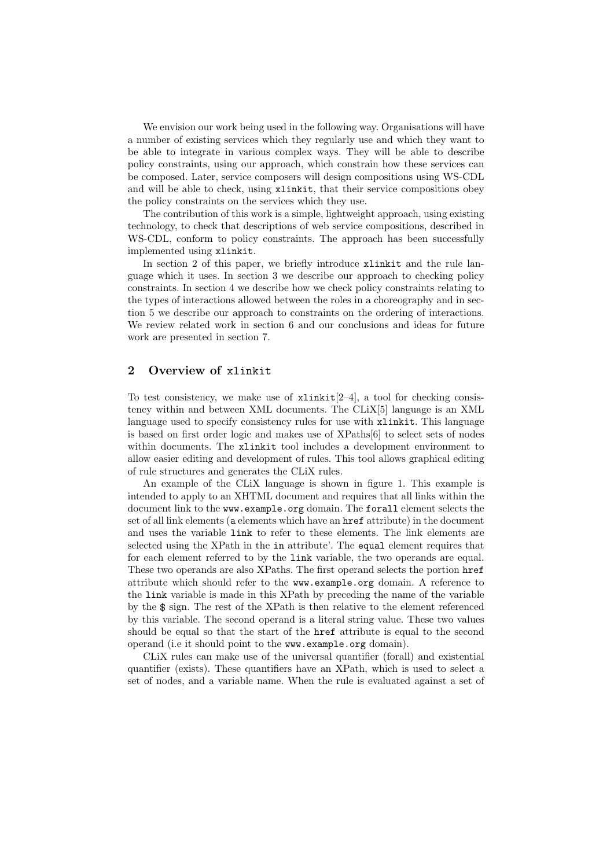We envision our work being used in the following way. Organisations will have a number of existing services which they regularly use and which they want to be able to integrate in various complex ways. They will be able to describe policy constraints, using our approach, which constrain how these services can be composed. Later, service composers will design compositions using WS-CDL and will be able to check, using xlinkit, that their service compositions obey the policy constraints on the services which they use.

The contribution of this work is a simple, lightweight approach, using existing technology, to check that descriptions of web service compositions, described in WS-CDL, conform to policy constraints. The approach has been successfully implemented using xlinkit.

In section 2 of this paper, we briefly introduce xlinkit and the rule language which it uses. In section 3 we describe our approach to checking policy constraints. In section 4 we describe how we check policy constraints relating to the types of interactions allowed between the roles in a choreography and in section 5 we describe our approach to constraints on the ordering of interactions. We review related work in section 6 and our conclusions and ideas for future work are presented in section 7.

## 2 Overview of xlinkit

To test consistency, we make use of  $xlinkit[2-4]$ , a tool for checking consistency within and between XML documents. The CLiX[5] language is an XML language used to specify consistency rules for use with xlinkit. This language is based on first order logic and makes use of XPaths[6] to select sets of nodes within documents. The xlinkit tool includes a development environment to allow easier editing and development of rules. This tool allows graphical editing of rule structures and generates the CLiX rules.

An example of the CLiX language is shown in figure 1. This example is intended to apply to an XHTML document and requires that all links within the document link to the www.example.org domain. The forall element selects the set of all link elements (a elements which have an href attribute) in the document and uses the variable link to refer to these elements. The link elements are selected using the XPath in the in attribute'. The equal element requires that for each element referred to by the link variable, the two operands are equal. These two operands are also XPaths. The first operand selects the portion href attribute which should refer to the www.example.org domain. A reference to the link variable is made in this XPath by preceding the name of the variable by the  $\$  sign. The rest of the XPath is then relative to the element referenced by this variable. The second operand is a literal string value. These two values should be equal so that the start of the href attribute is equal to the second operand (i.e it should point to the www.example.org domain).

CLiX rules can make use of the universal quantifier (forall) and existential quantifier (exists). These quantifiers have an XPath, which is used to select a set of nodes, and a variable name. When the rule is evaluated against a set of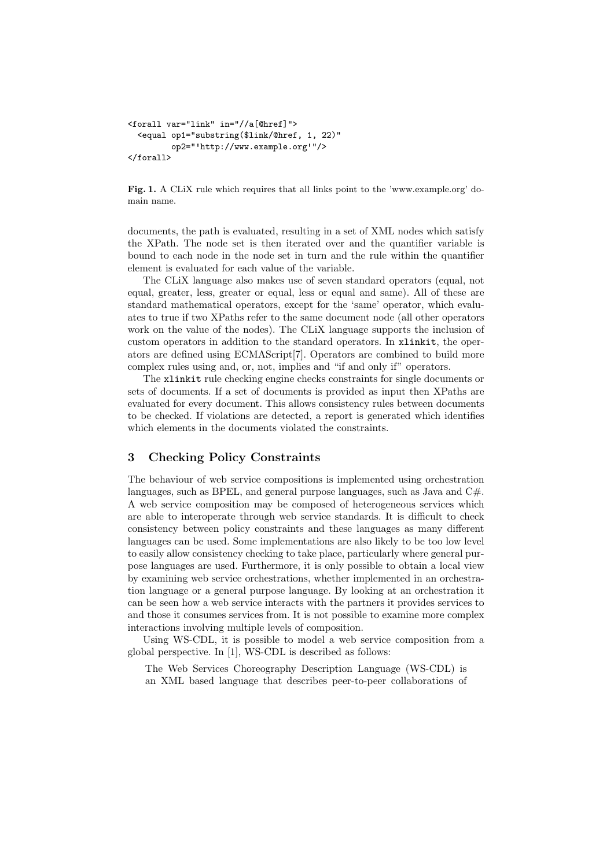```
<forall var="link" in="//a[@href]">
  <equal op1="substring($link/@href, 1, 22)"
         op2=" http://www.example.org "/>
</forall>
```
Fig. 1. A CLiX rule which requires that all links point to the 'www.example.org' domain name.

documents, the path is evaluated, resulting in a set of XML nodes which satisfy the XPath. The node set is then iterated over and the quantifier variable is bound to each node in the node set in turn and the rule within the quantifier element is evaluated for each value of the variable.

The CLiX language also makes use of seven standard operators (equal, not equal, greater, less, greater or equal, less or equal and same). All of these are standard mathematical operators, except for the 'same' operator, which evaluates to true if two XPaths refer to the same document node (all other operators work on the value of the nodes). The CLiX language supports the inclusion of custom operators in addition to the standard operators. In xlinkit, the operators are defined using ECMAScript[7]. Operators are combined to build more complex rules using and, or, not, implies and "if and only if" operators.

The xlinkit rule checking engine checks constraints for single documents or sets of documents. If a set of documents is provided as input then XPaths are evaluated for every document. This allows consistency rules between documents to be checked. If violations are detected, a report is generated which identifies which elements in the documents violated the constraints.

#### 3 Checking Policy Constraints

The behaviour of web service compositions is implemented using orchestration languages, such as BPEL, and general purpose languages, such as Java and  $C#$ . A web service composition may be composed of heterogeneous services which are able to interoperate through web service standards. It is difficult to check consistency between policy constraints and these languages as many different languages can be used. Some implementations are also likely to be too low level to easily allow consistency checking to take place, particularly where general purpose languages are used. Furthermore, it is only possible to obtain a local view by examining web service orchestrations, whether implemented in an orchestration language or a general purpose language. By looking at an orchestration it can be seen how a web service interacts with the partners it provides services to and those it consumes services from. It is not possible to examine more complex interactions involving multiple levels of composition.

Using WS-CDL, it is possible to model a web service composition from a global perspective. In [1], WS-CDL is described as follows:

The Web Services Choreography Description Language (WS-CDL) is an XML based language that describes peer-to-peer collaborations of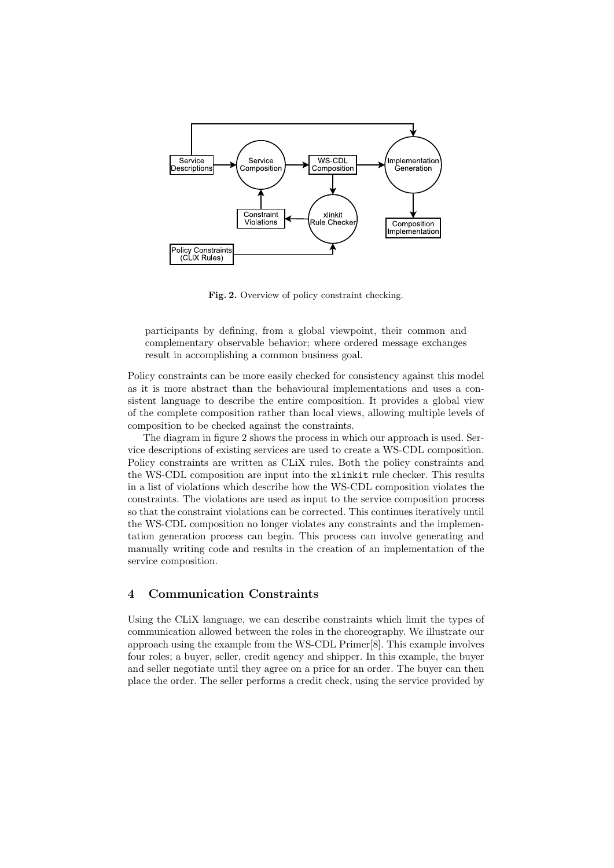

Fig. 2. Overview of policy constraint checking.

participants by defining, from a global viewpoint, their common and complementary observable behavior; where ordered message exchanges result in accomplishing a common business goal.

Policy constraints can be more easily checked for consistency against this model as it is more abstract than the behavioural implementations and uses a consistent language to describe the entire composition. It provides a global view of the complete composition rather than local views, allowing multiple levels of composition to be checked against the constraints.

The diagram in figure 2 shows the process in which our approach is used. Service descriptions of existing services are used to create a WS-CDL composition. Policy constraints are written as CLiX rules. Both the policy constraints and the WS-CDL composition are input into the xlinkit rule checker. This results in a list of violations which describe how the WS-CDL composition violates the constraints. The violations are used as input to the service composition process so that the constraint violations can be corrected. This continues iteratively until the WS-CDL composition no longer violates any constraints and the implementation generation process can begin. This process can involve generating and manually writing code and results in the creation of an implementation of the service composition.

# 4 Communication Constraints

Using the CLiX language, we can describe constraints which limit the types of communication allowed between the roles in the choreography. We illustrate our approach using the example from the WS-CDL Primer[8]. This example involves four roles; a buyer, seller, credit agency and shipper. In this example, the buyer and seller negotiate until they agree on a price for an order. The buyer can then place the order. The seller performs a credit check, using the service provided by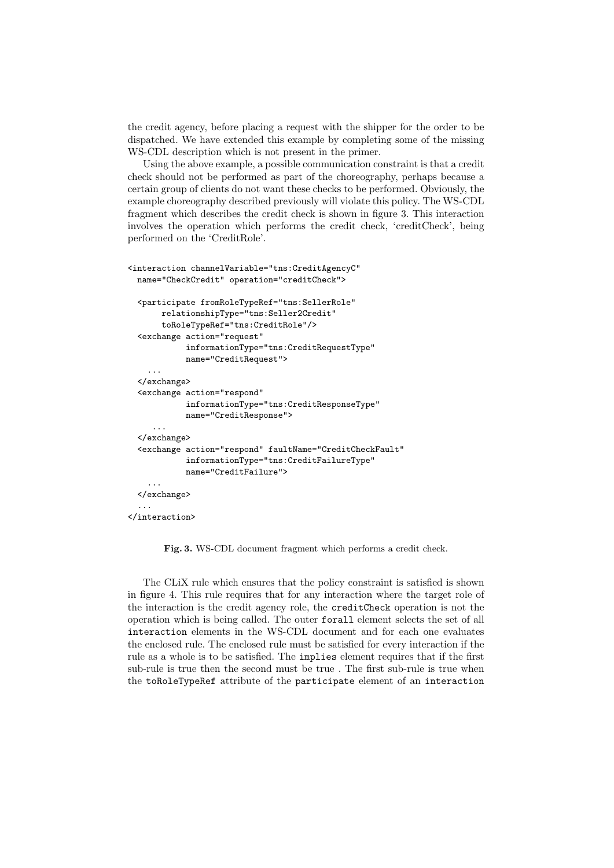the credit agency, before placing a request with the shipper for the order to be dispatched. We have extended this example by completing some of the missing WS-CDL description which is not present in the primer.

Using the above example, a possible communication constraint is that a credit check should not be performed as part of the choreography, perhaps because a certain group of clients do not want these checks to be performed. Obviously, the example choreography described previously will violate this policy. The WS-CDL fragment which describes the credit check is shown in figure 3. This interaction involves the operation which performs the credit check, 'creditCheck', being performed on the 'CreditRole'.

```
<interaction channelVariable="tns:CreditAgencyC"
 name="CheckCredit" operation="creditCheck">
 <participate fromRoleTypeRef="tns:SellerRole"
       relationshipType="tns:Seller2Credit"
       toRoleTypeRef="tns:CreditRole"/>
 <exchange action="request"
            informationType="tns:CreditRequestType"
            name="CreditRequest">
    ...
 </exchange>
  <exchange action="respond"
            informationType="tns:CreditResponseType"
           name="CreditResponse">
     ...
 </exchange>
 <exchange action="respond" faultName="CreditCheckFault"
            informationType="tns:CreditFailureType"
           name="CreditFailure">
    ...
 </exchange>
  ...
</interaction>
```
Fig. 3. WS-CDL document fragment which performs a credit check.

The CLiX rule which ensures that the policy constraint is satisfied is shown in figure 4. This rule requires that for any interaction where the target role of the interaction is the credit agency role, the creditCheck operation is not the operation which is being called. The outer forall element selects the set of all interaction elements in the WS-CDL document and for each one evaluates the enclosed rule. The enclosed rule must be satisfied for every interaction if the rule as a whole is to be satisfied. The implies element requires that if the first sub-rule is true then the second must be true . The first sub-rule is true when the toRoleTypeRef attribute of the participate element of an interaction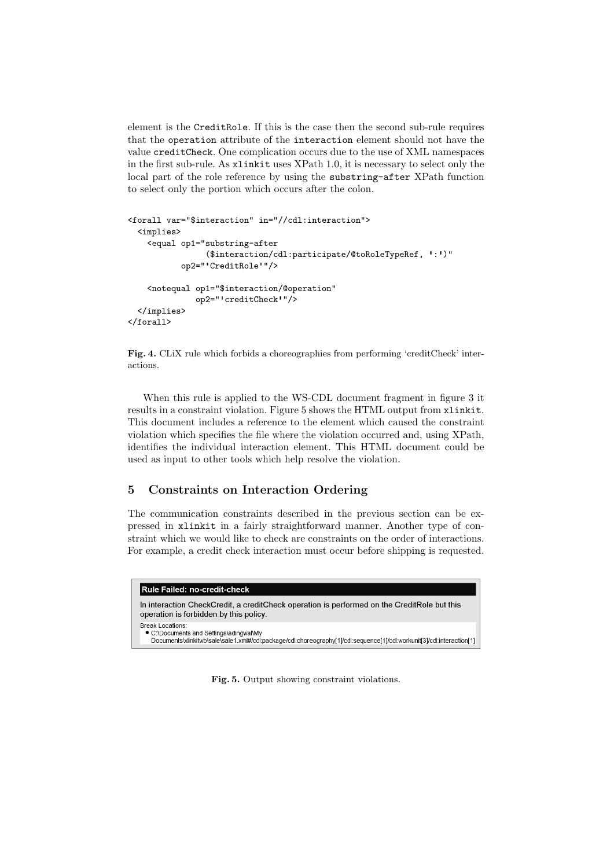element is the CreditRole. If this is the case then the second sub-rule requires that the operation attribute of the interaction element should not have the value creditCheck. One complication occurs due to the use of XML namespaces in the first sub-rule. As xlinkit uses XPath 1.0, it is necessary to select only the local part of the role reference by using the substring-after XPath function to select only the portion which occurs after the colon.

```
<forall var="$interaction" in="//cdl:interaction">
  <implies>
    <equal op1="substring-after
                ($interaction/cdl:participate/@toRoleTypeRef, ':')"
           op2=" CreditRole "/>
    <notequal op1="$interaction/@operation"
              op2=" creditCheck "/>
  </implies>
</forall>
```
Fig. 4. CLiX rule which forbids a choreographies from performing 'creditCheck' interactions.

When this rule is applied to the WS-CDL document fragment in figure 3 it results in a constraint violation. Figure 5 shows the HTML output from xlinkit. This document includes a reference to the element which caused the constraint violation which specifies the file where the violation occurred and, using XPath, identifies the individual interaction element. This HTML document could be used as input to other tools which help resolve the violation.

## 5 Constraints on Interaction Ordering

The communication constraints described in the previous section can be expressed in xlinkit in a fairly straightforward manner. Another type of constraint which we would like to check are constraints on the order of interactions. For example, a credit check interaction must occur before shipping is requested.

| Rule Failed: no-credit-check                                                                                                                                                                 |
|----------------------------------------------------------------------------------------------------------------------------------------------------------------------------------------------|
| In interaction CheckCredit, a creditCheck operation is performed on the CreditRole but this<br>operation is forbidden by this policy.                                                        |
| <b>Break Locations:</b><br>• C:\Documents and Settings\adingwal\My<br>Documents\xlinkitwb\sale\sale1.xml#/cdl:package/cdl:choreography[1]/cdl:sequence[1]/cdl:workunit[3]/cdl:interaction[1] |

Fig. 5. Output showing constraint violations.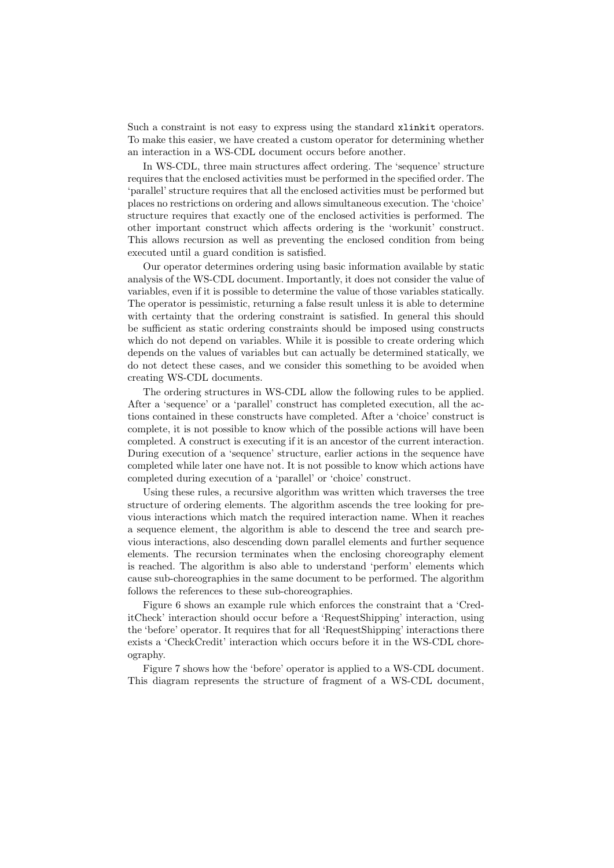Such a constraint is not easy to express using the standard xlinkit operators. To make this easier, we have created a custom operator for determining whether an interaction in a WS-CDL document occurs before another.

In WS-CDL, three main structures affect ordering. The 'sequence' structure requires that the enclosed activities must be performed in the specified order. The 'parallel' structure requires that all the enclosed activities must be performed but places no restrictions on ordering and allows simultaneous execution. The 'choice' structure requires that exactly one of the enclosed activities is performed. The other important construct which affects ordering is the 'workunit' construct. This allows recursion as well as preventing the enclosed condition from being executed until a guard condition is satisfied.

Our operator determines ordering using basic information available by static analysis of the WS-CDL document. Importantly, it does not consider the value of variables, even if it is possible to determine the value of those variables statically. The operator is pessimistic, returning a false result unless it is able to determine with certainty that the ordering constraint is satisfied. In general this should be sufficient as static ordering constraints should be imposed using constructs which do not depend on variables. While it is possible to create ordering which depends on the values of variables but can actually be determined statically, we do not detect these cases, and we consider this something to be avoided when creating WS-CDL documents.

The ordering structures in WS-CDL allow the following rules to be applied. After a 'sequence' or a 'parallel' construct has completed execution, all the actions contained in these constructs have completed. After a 'choice' construct is complete, it is not possible to know which of the possible actions will have been completed. A construct is executing if it is an ancestor of the current interaction. During execution of a 'sequence' structure, earlier actions in the sequence have completed while later one have not. It is not possible to know which actions have completed during execution of a 'parallel' or 'choice' construct.

Using these rules, a recursive algorithm was written which traverses the tree structure of ordering elements. The algorithm ascends the tree looking for previous interactions which match the required interaction name. When it reaches a sequence element, the algorithm is able to descend the tree and search previous interactions, also descending down parallel elements and further sequence elements. The recursion terminates when the enclosing choreography element is reached. The algorithm is also able to understand 'perform' elements which cause sub-choreographies in the same document to be performed. The algorithm follows the references to these sub-choreographies.

Figure 6 shows an example rule which enforces the constraint that a 'CreditCheck' interaction should occur before a 'RequestShipping' interaction, using the 'before' operator. It requires that for all 'RequestShipping' interactions there exists a 'CheckCredit' interaction which occurs before it in the WS-CDL choreography.

Figure 7 shows how the 'before' operator is applied to a WS-CDL document. This diagram represents the structure of fragment of a WS-CDL document,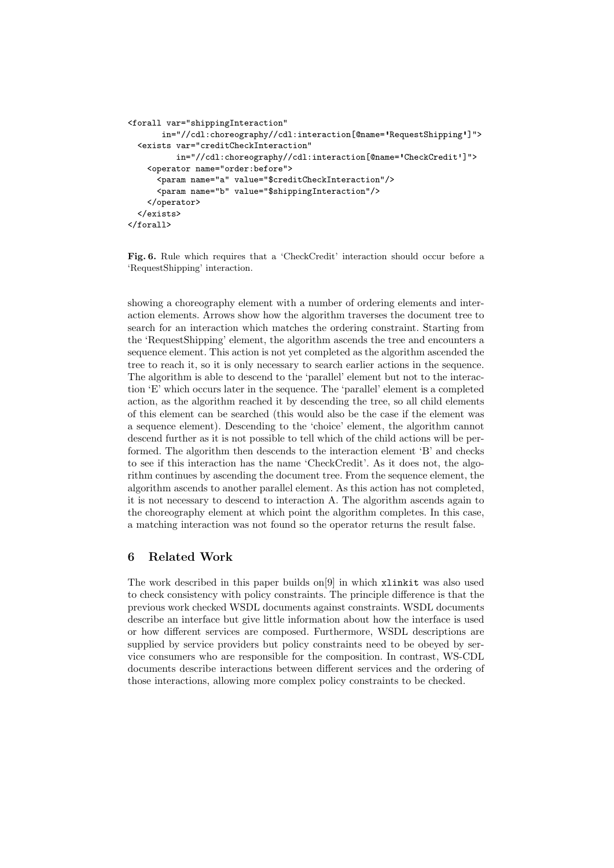```
<forall var="shippingInteraction"
       in="//cdl:choreography//cdl:interaction[@name= RequestShipping ]">
  <exists var="creditCheckInteraction"
          in="//cdl:choreography//cdl:interaction[@name= CheckCredit ]">
    <operator name="order:before">
      <param name="a" value="$creditCheckInteraction"/>
      <param name="b" value="$shippingInteraction"/>
    </operator>
  </exists>
</forall>
```
Fig. 6. Rule which requires that a 'CheckCredit' interaction should occur before a 'RequestShipping' interaction.

showing a choreography element with a number of ordering elements and interaction elements. Arrows show how the algorithm traverses the document tree to search for an interaction which matches the ordering constraint. Starting from the 'RequestShipping' element, the algorithm ascends the tree and encounters a sequence element. This action is not yet completed as the algorithm ascended the tree to reach it, so it is only necessary to search earlier actions in the sequence. The algorithm is able to descend to the 'parallel' element but not to the interaction 'E' which occurs later in the sequence. The 'parallel' element is a completed action, as the algorithm reached it by descending the tree, so all child elements of this element can be searched (this would also be the case if the element was a sequence element). Descending to the 'choice' element, the algorithm cannot descend further as it is not possible to tell which of the child actions will be performed. The algorithm then descends to the interaction element 'B' and checks to see if this interaction has the name 'CheckCredit'. As it does not, the algorithm continues by ascending the document tree. From the sequence element, the algorithm ascends to another parallel element. As this action has not completed, it is not necessary to descend to interaction A. The algorithm ascends again to the choreography element at which point the algorithm completes. In this case, a matching interaction was not found so the operator returns the result false.

# 6 Related Work

The work described in this paper builds on[9] in which xlinkit was also used to check consistency with policy constraints. The principle difference is that the previous work checked WSDL documents against constraints. WSDL documents describe an interface but give little information about how the interface is used or how different services are composed. Furthermore, WSDL descriptions are supplied by service providers but policy constraints need to be obeyed by service consumers who are responsible for the composition. In contrast, WS-CDL documents describe interactions between different services and the ordering of those interactions, allowing more complex policy constraints to be checked.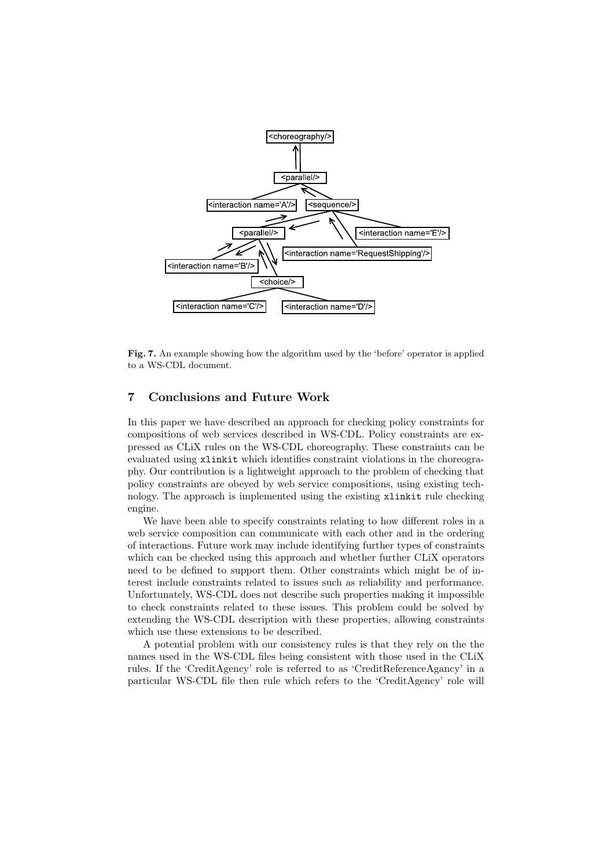

Fig. 7. An example showing how the algorithm used by the 'before' operator is applied to a WS-CDL document.

## 7 Conclusions and Future Work

In this paper we have described an approach for checking policy constraints for compositions of web services described in WS-CDL. Policy constraints are expressed as CLiX rules on the WS-CDL choreography. These constraints can be evaluated using xlinkit which identifies constraint violations in the choreography. Our contribution is a lightweight approach to the problem of checking that policy constraints are obeyed by web service compositions, using existing technology. The approach is implemented using the existing xlinkit rule checking engine.

We have been able to specify constraints relating to how different roles in a web service composition can communicate with each other and in the ordering of interactions. Future work may include identifying further types of constraints which can be checked using this approach and whether further CLiX operators need to be defined to support them. Other constraints which might be of interest include constraints related to issues such as reliability and performance. Unfortunately, WS-CDL does not describe such properties making it impossible to check constraints related to these issues. This problem could be solved by extending the WS-CDL description with these properties, allowing constraints which use these extensions to be described.

A potential problem with our consistency rules is that they rely on the the names used in the WS-CDL files being consistent with those used in the CLiX rules. If the 'CreditAgency' role is referred to as 'CreditReferenceAgancy' in a particular WS-CDL file then rule which refers to the 'CreditAgency' role will